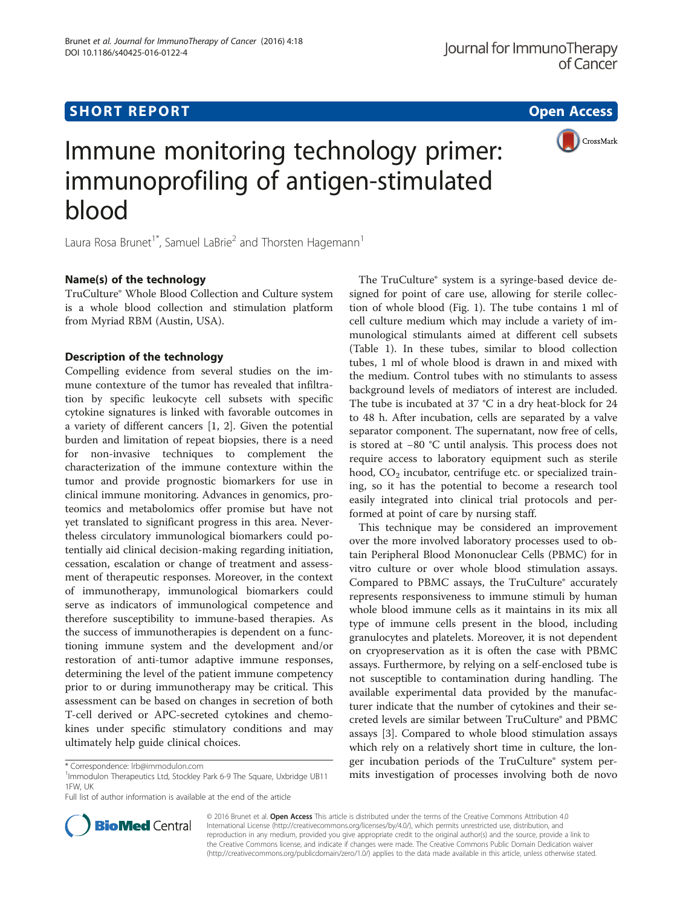## **SHORT REPORT SHORT CONSUMING THE CONSUMING THE CONSUMING THE CONSUMING THE CONSUMING THE CONSUMING THE CONSUMING THE CONSUMING THE CONSUMING THE CONSUMING THE CONSUMING THE CONSUMING THE CONSUMING THE CONSUMING THE CONS**



# Immune monitoring technology primer: immunoprofiling of antigen-stimulated blood

Laura Rosa Brunet<sup>1\*</sup>, Samuel LaBrie<sup>2</sup> and Thorsten Hagemann<sup>1</sup>

## Name(s) of the technology

TruCulture® Whole Blood Collection and Culture system is a whole blood collection and stimulation platform from Myriad RBM (Austin, USA).

## Description of the technology

Compelling evidence from several studies on the immune contexture of the tumor has revealed that infiltration by specific leukocyte cell subsets with specific cytokine signatures is linked with favorable outcomes in a variety of different cancers [\[1](#page-3-0), [2](#page-3-0)]. Given the potential burden and limitation of repeat biopsies, there is a need for non-invasive techniques to complement the characterization of the immune contexture within the tumor and provide prognostic biomarkers for use in clinical immune monitoring. Advances in genomics, proteomics and metabolomics offer promise but have not yet translated to significant progress in this area. Nevertheless circulatory immunological biomarkers could potentially aid clinical decision-making regarding initiation, cessation, escalation or change of treatment and assessment of therapeutic responses. Moreover, in the context of immunotherapy, immunological biomarkers could serve as indicators of immunological competence and therefore susceptibility to immune-based therapies. As the success of immunotherapies is dependent on a functioning immune system and the development and/or restoration of anti-tumor adaptive immune responses, determining the level of the patient immune competency prior to or during immunotherapy may be critical. This assessment can be based on changes in secretion of both T-cell derived or APC-secreted cytokines and chemokines under specific stimulatory conditions and may ultimately help guide clinical choices.

Full list of author information is available at the end of the article

The TruCulture® system is a syringe-based device designed for point of care use, allowing for sterile collection of whole blood (Fig. [1](#page-1-0)). The tube contains 1 ml of cell culture medium which may include a variety of immunological stimulants aimed at different cell subsets (Table [1\)](#page-1-0). In these tubes, similar to blood collection tubes, 1 ml of whole blood is drawn in and mixed with the medium. Control tubes with no stimulants to assess background levels of mediators of interest are included. The tube is incubated at 37  $°C$  in a dry heat-block for 24 to 48 h. After incubation, cells are separated by a valve separator component. The supernatant, now free of cells, is stored at −80 °C until analysis. This process does not require access to laboratory equipment such as sterile hood,  $CO<sub>2</sub>$  incubator, centrifuge etc. or specialized training, so it has the potential to become a research tool easily integrated into clinical trial protocols and performed at point of care by nursing staff.

This technique may be considered an improvement over the more involved laboratory processes used to obtain Peripheral Blood Mononuclear Cells (PBMC) for in vitro culture or over whole blood stimulation assays. Compared to PBMC assays, the TruCulture® accurately represents responsiveness to immune stimuli by human whole blood immune cells as it maintains in its mix all type of immune cells present in the blood, including granulocytes and platelets. Moreover, it is not dependent on cryopreservation as it is often the case with PBMC assays. Furthermore, by relying on a self-enclosed tube is not susceptible to contamination during handling. The available experimental data provided by the manufacturer indicate that the number of cytokines and their secreted levels are similar between TruCulture® and PBMC assays [\[3](#page-3-0)]. Compared to whole blood stimulation assays which rely on a relatively short time in culture, the longer incubation periods of the TruCulture® system perer incubation performation of the ridding system per-<br>Immodulon Therapeutics Ltd, Stockley Park 6-9 The Square, Uxbridge UB11 mits investigation of processes involving both de novo



© 2016 Brunet et al. Open Access This article is distributed under the terms of the Creative Commons Attribution 4.0 International License [\(http://creativecommons.org/licenses/by/4.0/](http://creativecommons.org/licenses/by/4.0/)), which permits unrestricted use, distribution, and reproduction in any medium, provided you give appropriate credit to the original author(s) and the source, provide a link to the Creative Commons license, and indicate if changes were made. The Creative Commons Public Domain Dedication waiver [\(http://creativecommons.org/publicdomain/zero/1.0/](http://creativecommons.org/publicdomain/zero/1.0/)) applies to the data made available in this article, unless otherwise stated.

<sup>&</sup>lt;sup>1</sup> Immodulon Therapeutics Ltd, Stockley Park 6-9 The Square, Uxbridge UB11 1FW, UK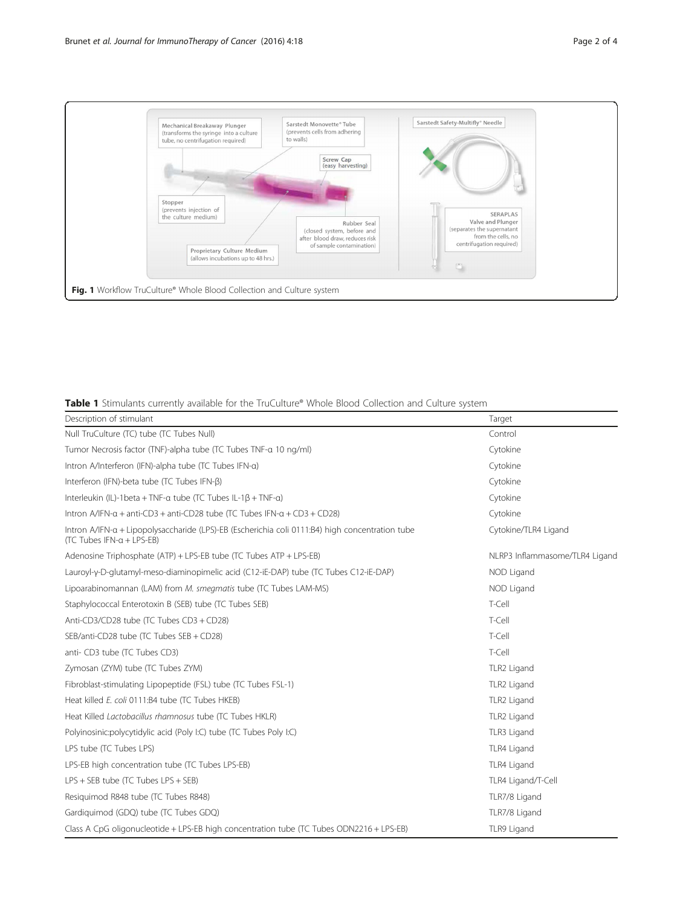<span id="page-1-0"></span>

## Table 1 Stimulants currently available for the TruCulture® Whole Blood Collection and Culture system

| Description of stimulant                                                                                                                | Target                         |
|-----------------------------------------------------------------------------------------------------------------------------------------|--------------------------------|
| Null TruCulture (TC) tube (TC Tubes Null)                                                                                               | Control                        |
| Tumor Necrosis factor (TNF)-alpha tube (TC Tubes TNF-a 10 ng/ml)                                                                        | Cytokine                       |
| Intron A/Interferon (IFN)-alpha tube (TC Tubes IFN-a)                                                                                   | Cytokine                       |
| Interferon (IFN)-beta tube (TC Tubes IFN-β)                                                                                             | Cytokine                       |
| Interleukin (IL)-1 beta + TNF-a tube (TC Tubes IL-1 $\beta$ + TNF-a)                                                                    | Cytokine                       |
| Intron A/IFN- $\alpha$ + anti-CD3 + anti-CD28 tube (TC Tubes IFN- $\alpha$ + CD3 + CD28)                                                | Cytokine                       |
| Intron A/IFN-a + Lipopolysaccharide (LPS)-EB (Escherichia coli 0111:B4) high concentration tube<br>$(TC)$ Tubes IFN- $\alpha$ + LPS-EB) | Cytokine/TLR4 Ligand           |
| Adenosine Triphosphate (ATP) + LPS-EB tube (TC Tubes ATP + LPS-EB)                                                                      | NLRP3 Inflammasome/TLR4 Ligand |
| Lauroyl-y-D-glutamyl-meso-diaminopimelic acid (C12-iE-DAP) tube (TC Tubes C12-iE-DAP)                                                   | NOD Ligand                     |
| Lipoarabinomannan (LAM) from M. smegmatis tube (TC Tubes LAM-MS)                                                                        | NOD Ligand                     |
| Staphylococcal Enterotoxin B (SEB) tube (TC Tubes SEB)                                                                                  | T-Cell                         |
| Anti-CD3/CD28 tube (TC Tubes CD3 + CD28)                                                                                                | T-Cell                         |
| SEB/anti-CD28 tube (TC Tubes SEB + CD28)                                                                                                | T-Cell                         |
| anti- CD3 tube (TC Tubes CD3)                                                                                                           | T-Cell                         |
| Zymosan (ZYM) tube (TC Tubes ZYM)                                                                                                       | TLR2 Ligand                    |
| Fibroblast-stimulating Lipopeptide (FSL) tube (TC Tubes FSL-1)                                                                          | TLR2 Ligand                    |
| Heat killed E. coli 0111:B4 tube (TC Tubes HKEB)                                                                                        | TLR2 Ligand                    |
| Heat Killed Lactobacillus rhamnosus tube (TC Tubes HKLR)                                                                                | TLR2 Ligand                    |
| Polyinosinic:polycytidylic acid (Poly I:C) tube (TC Tubes Poly I:C)                                                                     | TLR3 Ligand                    |
| LPS tube (TC Tubes LPS)                                                                                                                 | TLR4 Ligand                    |
| LPS-EB high concentration tube (TC Tubes LPS-EB)                                                                                        | TLR4 Ligand                    |
| $LPS + SEB$ tube (TC Tubes $LPS + SEB$ )                                                                                                | TLR4 Ligand/T-Cell             |
| Resiguimod R848 tube (TC Tubes R848)                                                                                                    | TLR7/8 Ligand                  |
| Gardiguimod (GDQ) tube (TC Tubes GDQ)                                                                                                   | TLR7/8 Ligand                  |
| Class A CpG oligonucleotide + LPS-EB high concentration tube (TC Tubes ODN2216 + LPS-EB)                                                | TLR9 Ligand                    |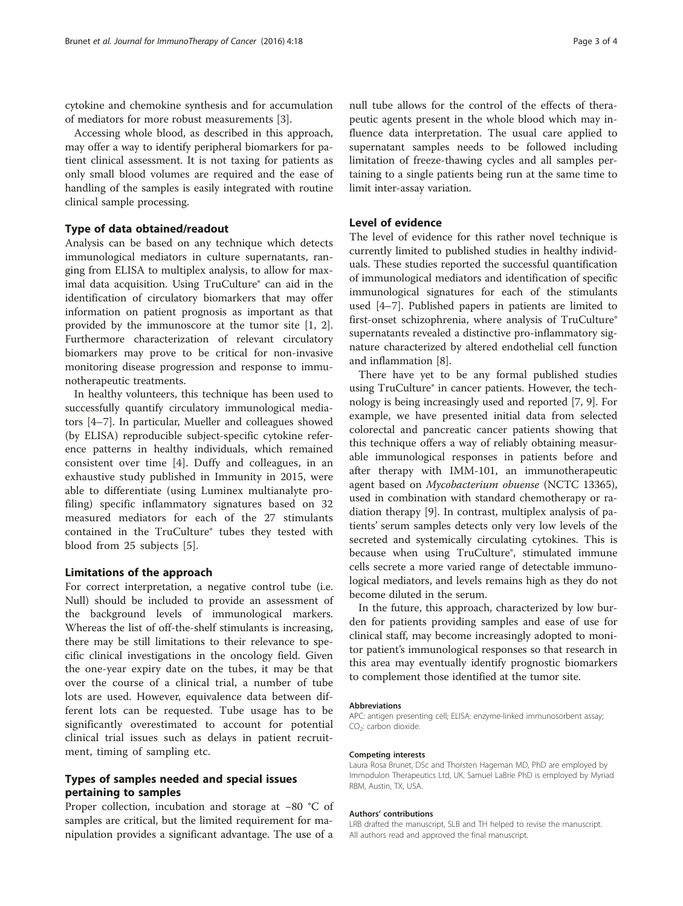cytokine and chemokine synthesis and for accumulation of mediators for more robust measurements [[3](#page-3-0)].

Accessing whole blood, as described in this approach, may offer a way to identify peripheral biomarkers for patient clinical assessment. It is not taxing for patients as only small blood volumes are required and the ease of handling of the samples is easily integrated with routine clinical sample processing.

### Type of data obtained/readout

Analysis can be based on any technique which detects immunological mediators in culture supernatants, ranging from ELISA to multiplex analysis, to allow for maximal data acquisition. Using TruCulture® can aid in the identification of circulatory biomarkers that may offer information on patient prognosis as important as that provided by the immunoscore at the tumor site [[1, 2](#page-3-0)]. Furthermore characterization of relevant circulatory biomarkers may prove to be critical for non-invasive monitoring disease progression and response to immunotherapeutic treatments.

In healthy volunteers, this technique has been used to successfully quantify circulatory immunological mediators [\[4](#page-3-0)–[7\]](#page-3-0). In particular, Mueller and colleagues showed (by ELISA) reproducible subject-specific cytokine reference patterns in healthy individuals, which remained consistent over time [[4\]](#page-3-0). Duffy and colleagues, in an exhaustive study published in Immunity in 2015, were able to differentiate (using Luminex multianalyte profiling) specific inflammatory signatures based on 32 measured mediators for each of the 27 stimulants contained in the TruCulture® tubes they tested with blood from 25 subjects [[5\]](#page-3-0).

#### Limitations of the approach

For correct interpretation, a negative control tube (i.e. Null) should be included to provide an assessment of the background levels of immunological markers. Whereas the list of off-the-shelf stimulants is increasing, there may be still limitations to their relevance to specific clinical investigations in the oncology field. Given the one-year expiry date on the tubes, it may be that over the course of a clinical trial, a number of tube lots are used. However, equivalence data between different lots can be requested. Tube usage has to be significantly overestimated to account for potential clinical trial issues such as delays in patient recruitment, timing of sampling etc.

## Types of samples needed and special issues pertaining to samples

Proper collection, incubation and storage at −80 °C of samples are critical, but the limited requirement for manipulation provides a significant advantage. The use of a

null tube allows for the control of the effects of therapeutic agents present in the whole blood which may influence data interpretation. The usual care applied to supernatant samples needs to be followed including limitation of freeze-thawing cycles and all samples pertaining to a single patients being run at the same time to limit inter-assay variation.

## Level of evidence

The level of evidence for this rather novel technique is currently limited to published studies in healthy individuals. These studies reported the successful quantification of immunological mediators and identification of specific immunological signatures for each of the stimulants used [[4](#page-3-0)–[7\]](#page-3-0). Published papers in patients are limited to first-onset schizophrenia, where analysis of TruCulture® supernatants revealed a distinctive pro-inflammatory signature characterized by altered endothelial cell function and inflammation [[8\]](#page-3-0).

There have yet to be any formal published studies using TruCulture® in cancer patients. However, the technology is being increasingly used and reported [\[7](#page-3-0), [9](#page-3-0)]. For example, we have presented initial data from selected colorectal and pancreatic cancer patients showing that this technique offers a way of reliably obtaining measurable immunological responses in patients before and after therapy with IMM-101, an immunotherapeutic agent based on Mycobacterium obuense (NCTC 13365), used in combination with standard chemotherapy or radiation therapy [\[9](#page-3-0)]. In contrast, multiplex analysis of patients' serum samples detects only very low levels of the secreted and systemically circulating cytokines. This is because when using TruCulture®, stimulated immune cells secrete a more varied range of detectable immunological mediators, and levels remains high as they do not become diluted in the serum.

In the future, this approach, characterized by low burden for patients providing samples and ease of use for clinical staff, may become increasingly adopted to monitor patient's immunological responses so that research in this area may eventually identify prognostic biomarkers to complement those identified at the tumor site.

#### Abbreviations

APC: antigen presenting cell; ELISA: enzyme-linked immunosorbent assay;  $CO<sub>2</sub>$ : carbon dioxide.

#### Competing interests

Laura Rosa Brunet, DSc and Thorsten Hageman MD, PhD are employed by Immodulon Therapeutics Ltd, UK. Samuel LaBrie PhD is employed by Myriad RBM, Austin, TX, USA.

#### Authors' contributions

LRB drafted the manuscript, SLB and TH helped to revise the manuscript. All authors read and approved the final manuscript.